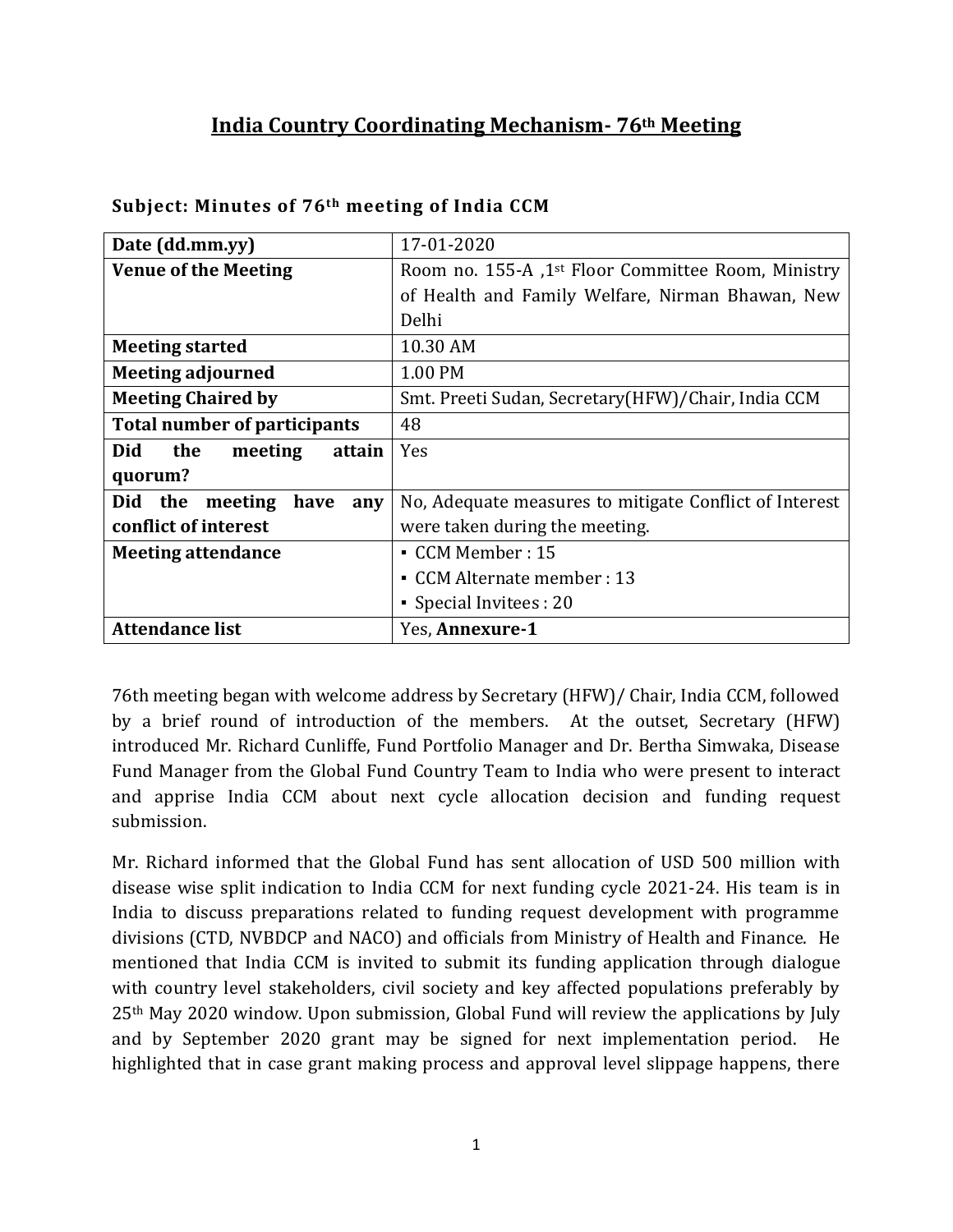# **India Country Coordinating Mechanism- 76th Meeting**

| Date (dd.mm.yy)                      | 17-01-2020                                                     |
|--------------------------------------|----------------------------------------------------------------|
| <b>Venue of the Meeting</b>          | Room no. 155-A ,1 <sup>st</sup> Floor Committee Room, Ministry |
|                                      | of Health and Family Welfare, Nirman Bhawan, New               |
|                                      | Delhi                                                          |
| <b>Meeting started</b>               | 10.30 AM                                                       |
| <b>Meeting adjourned</b>             | 1.00 PM                                                        |
| <b>Meeting Chaired by</b>            | Smt. Preeti Sudan, Secretary(HFW)/Chair, India CCM             |
| <b>Total number of participants</b>  | 48                                                             |
| Did<br>the<br>meeting<br>attain      | Yes                                                            |
| quorum?                              |                                                                |
| Did<br>the<br>meeting<br>have<br>any | No, Adequate measures to mitigate Conflict of Interest         |
| conflict of interest                 | were taken during the meeting.                                 |
| <b>Meeting attendance</b>            | $\blacksquare$ CCM Member : 15                                 |
|                                      | • CCM Alternate member : 13                                    |
|                                      | • Special Invitees : 20                                        |
| <b>Attendance list</b>               | Yes, Annexure-1                                                |

#### **Subject: Minutes of 76th meeting of India CCM**

76th meeting began with welcome address by Secretary (HFW)/ Chair, India CCM, followed by a brief round of introduction of the members. At the outset, Secretary (HFW) introduced Mr. Richard Cunliffe, Fund Portfolio Manager and Dr. Bertha Simwaka, Disease Fund Manager from the Global Fund Country Team to India who were present to interact and apprise India CCM about next cycle allocation decision and funding request submission.

Mr. Richard informed that the Global Fund has sent allocation of USD 500 million with disease wise split indication to India CCM for next funding cycle 2021-24. His team is in India to discuss preparations related to funding request development with programme divisions (CTD, NVBDCP and NACO) and officials from Ministry of Health and Finance. He mentioned that India CCM is invited to submit its funding application through dialogue with country level stakeholders, civil society and key affected populations preferably by 25th May 2020 window. Upon submission, Global Fund will review the applications by July and by September 2020 grant may be signed for next implementation period. He highlighted that in case grant making process and approval level slippage happens, there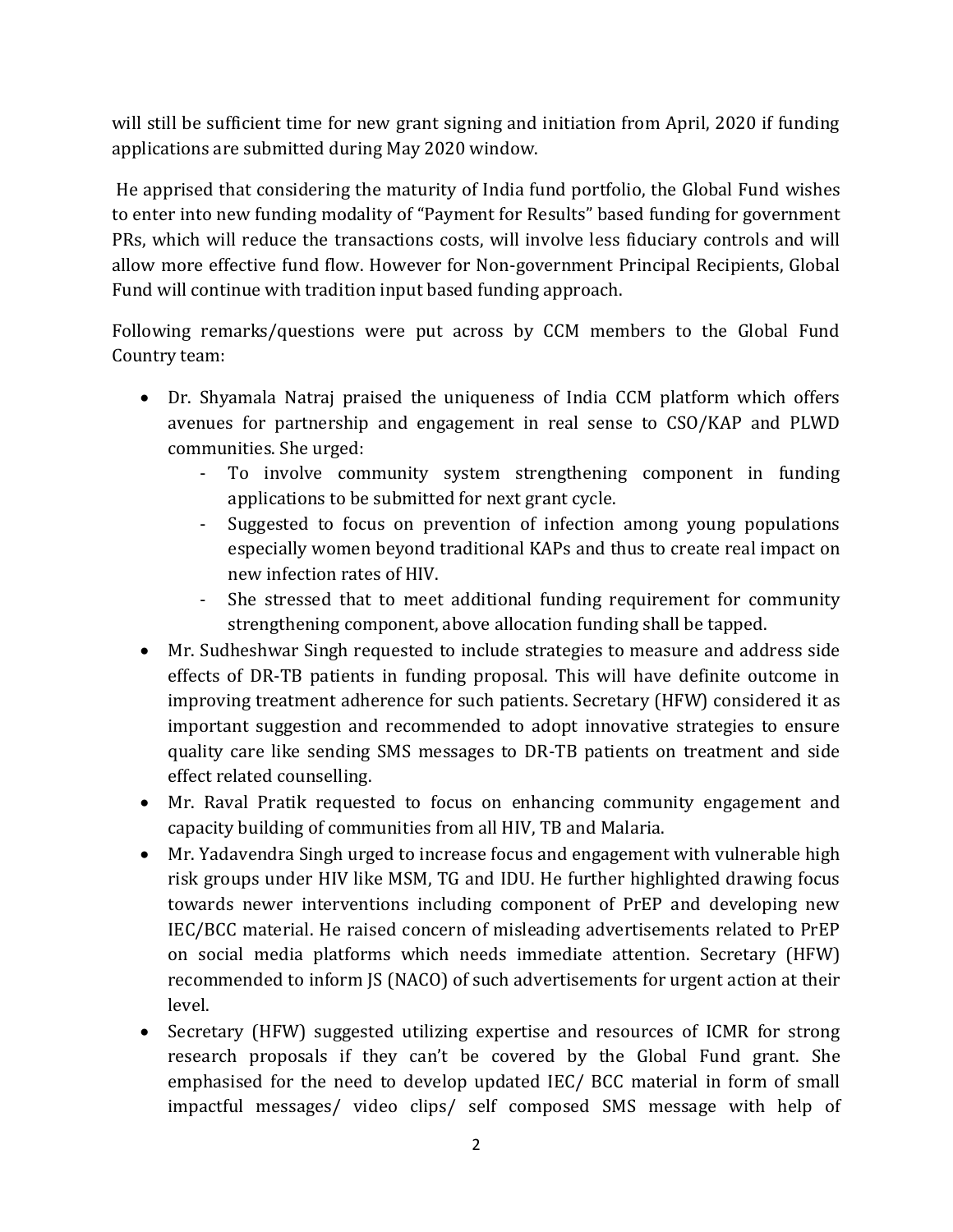will still be sufficient time for new grant signing and initiation from April, 2020 if funding applications are submitted during May 2020 window.

He apprised that considering the maturity of India fund portfolio, the Global Fund wishes to enter into new funding modality of "Payment for Results" based funding for government PRs, which will reduce the transactions costs, will involve less fiduciary controls and will allow more effective fund flow. However for Non-government Principal Recipients, Global Fund will continue with tradition input based funding approach.

Following remarks/questions were put across by CCM members to the Global Fund Country team:

- Dr. Shyamala Natraj praised the uniqueness of India CCM platform which offers avenues for partnership and engagement in real sense to CSO/KAP and PLWD communities. She urged:
	- To involve community system strengthening component in funding applications to be submitted for next grant cycle.
	- Suggested to focus on prevention of infection among young populations especially women beyond traditional KAPs and thus to create real impact on new infection rates of HIV.
	- She stressed that to meet additional funding requirement for community strengthening component, above allocation funding shall be tapped.
- Mr. Sudheshwar Singh requested to include strategies to measure and address side effects of DR-TB patients in funding proposal. This will have definite outcome in improving treatment adherence for such patients. Secretary (HFW) considered it as important suggestion and recommended to adopt innovative strategies to ensure quality care like sending SMS messages to DR-TB patients on treatment and side effect related counselling.
- Mr. Raval Pratik requested to focus on enhancing community engagement and capacity building of communities from all HIV, TB and Malaria.
- Mr. Yadavendra Singh urged to increase focus and engagement with vulnerable high risk groups under HIV like MSM, TG and IDU. He further highlighted drawing focus towards newer interventions including component of PrEP and developing new IEC/BCC material. He raised concern of misleading advertisements related to PrEP on social media platforms which needs immediate attention. Secretary (HFW) recommended to inform JS (NACO) of such advertisements for urgent action at their level.
- Secretary (HFW) suggested utilizing expertise and resources of ICMR for strong research proposals if they can't be covered by the Global Fund grant. She emphasised for the need to develop updated IEC/ BCC material in form of small impactful messages/ video clips/ self composed SMS message with help of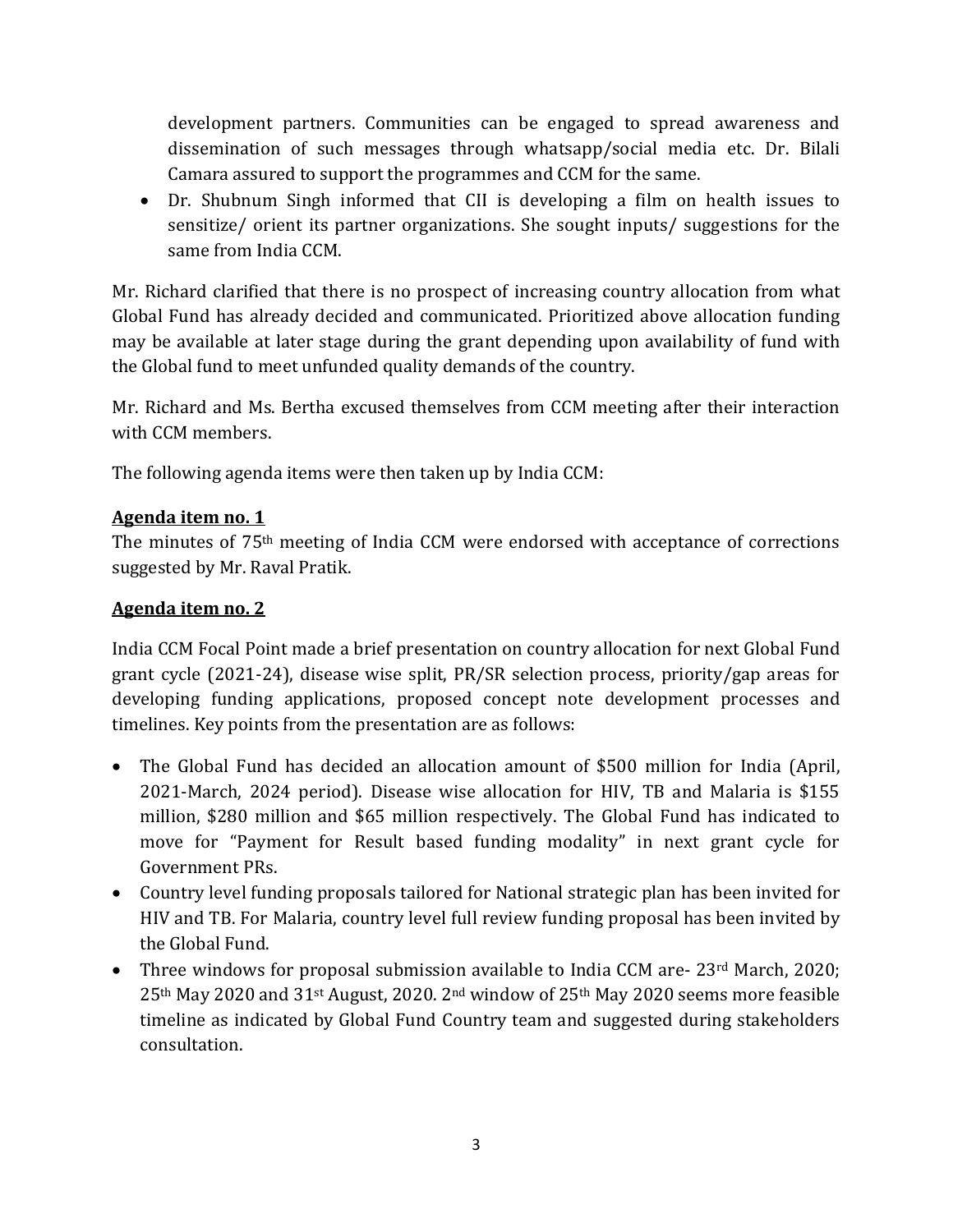development partners. Communities can be engaged to spread awareness and dissemination of such messages through whatsapp/social media etc. Dr. Bilali Camara assured to support the programmes and CCM for the same.

• Dr. Shubnum Singh informed that CII is developing a film on health issues to sensitize/ orient its partner organizations. She sought inputs/ suggestions for the same from India CCM.

Mr. Richard clarified that there is no prospect of increasing country allocation from what Global Fund has already decided and communicated. Prioritized above allocation funding may be available at later stage during the grant depending upon availability of fund with the Global fund to meet unfunded quality demands of the country.

Mr. Richard and Ms. Bertha excused themselves from CCM meeting after their interaction with CCM members.

The following agenda items were then taken up by India CCM:

## **Agenda item no. 1**

The minutes of 75th meeting of India CCM were endorsed with acceptance of corrections suggested by Mr. Raval Pratik.

## **Agenda item no. 2**

India CCM Focal Point made a brief presentation on country allocation for next Global Fund grant cycle (2021-24), disease wise split, PR/SR selection process, priority/gap areas for developing funding applications, proposed concept note development processes and timelines. Key points from the presentation are as follows:

- The Global Fund has decided an allocation amount of \$500 million for India (April, 2021-March, 2024 period). Disease wise allocation for HIV, TB and Malaria is \$155 million, \$280 million and \$65 million respectively. The Global Fund has indicated to move for "Payment for Result based funding modality" in next grant cycle for Government PRs.
- Country level funding proposals tailored for National strategic plan has been invited for HIV and TB. For Malaria, country level full review funding proposal has been invited by the Global Fund.
- Three windows for proposal submission available to India CCM are- 23rd March, 2020; 25th May 2020 and 31st August, 2020. 2nd window of 25th May 2020 seems more feasible timeline as indicated by Global Fund Country team and suggested during stakeholders consultation.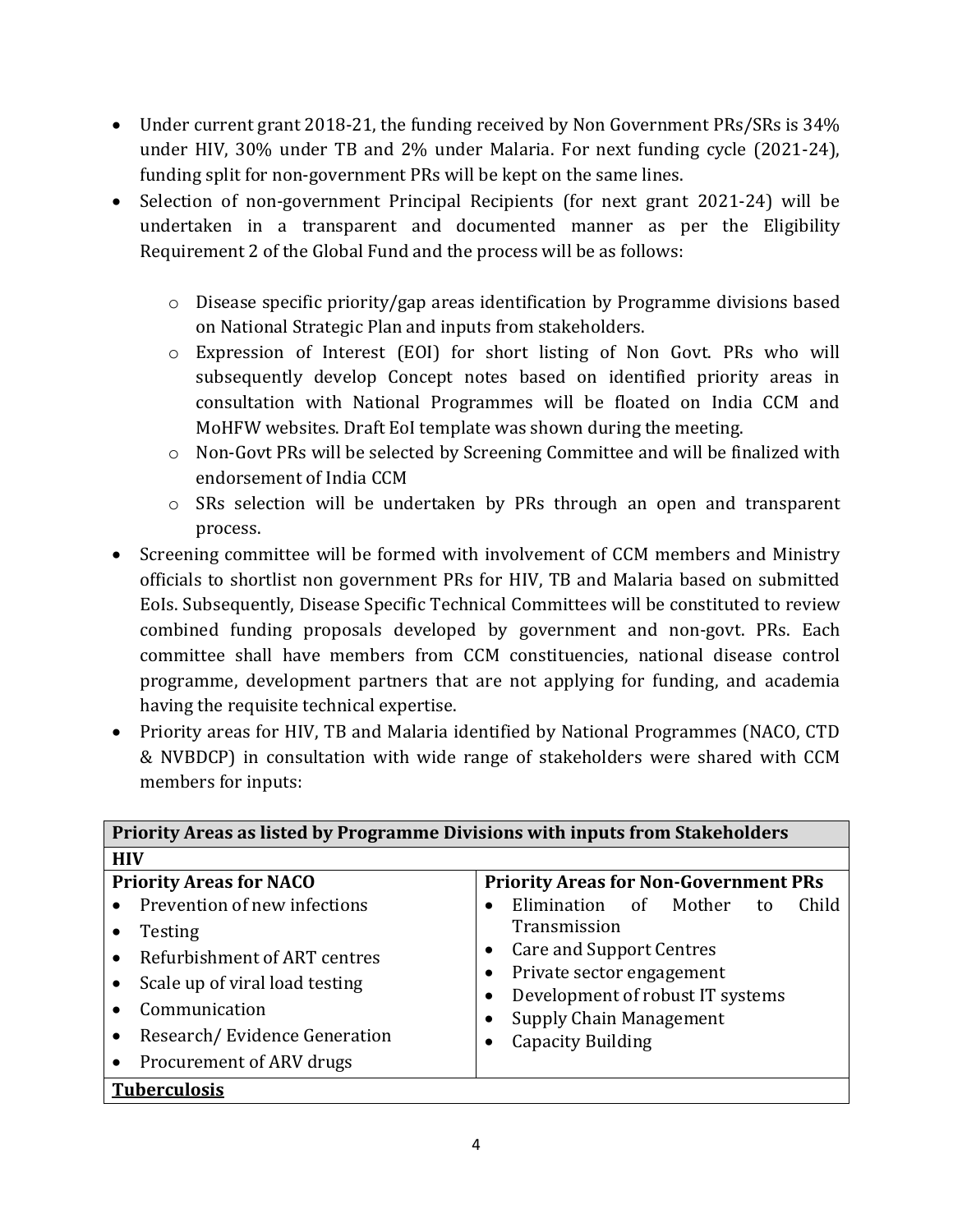- Under current grant 2018-21, the funding received by Non Government PRs/SRs is 34% under HIV, 30% under TB and 2% under Malaria. For next funding cycle (2021-24), funding split for non-government PRs will be kept on the same lines.
- Selection of non-government Principal Recipients (for next grant 2021-24) will be undertaken in a transparent and documented manner as per the Eligibility Requirement 2 of the Global Fund and the process will be as follows:
	- o Disease specific priority/gap areas identification by Programme divisions based on National Strategic Plan and inputs from stakeholders.
	- o Expression of Interest (EOI) for short listing of Non Govt. PRs who will subsequently develop Concept notes based on identified priority areas in consultation with National Programmes will be floated on India CCM and MoHFW websites. Draft EoI template was shown during the meeting.
	- o Non-Govt PRs will be selected by Screening Committee and will be finalized with endorsement of India CCM
	- o SRs selection will be undertaken by PRs through an open and transparent process.
- Screening committee will be formed with involvement of CCM members and Ministry officials to shortlist non government PRs for HIV, TB and Malaria based on submitted EoIs. Subsequently, Disease Specific Technical Committees will be constituted to review combined funding proposals developed by government and non-govt. PRs. Each committee shall have members from CCM constituencies, national disease control programme, development partners that are not applying for funding, and academia having the requisite technical expertise.
- Priority areas for HIV, TB and Malaria identified by National Programmes (NACO, CTD & NVBDCP) in consultation with wide range of stakeholders were shared with CCM members for inputs:

| Priority Areas as listed by Programme Divisions with inputs from Stakeholders                                                                                                          |                                                                                                                                                                                                             |  |  |
|----------------------------------------------------------------------------------------------------------------------------------------------------------------------------------------|-------------------------------------------------------------------------------------------------------------------------------------------------------------------------------------------------------------|--|--|
| <b>HIV</b>                                                                                                                                                                             |                                                                                                                                                                                                             |  |  |
| <b>Priority Areas for NACO</b>                                                                                                                                                         | <b>Priority Areas for Non-Government PRs</b>                                                                                                                                                                |  |  |
| Prevention of new infections<br>Testing<br>Refurbishment of ART centres<br>Scale up of viral load testing<br>Communication<br>Research/Evidence Generation<br>Procurement of ARV drugs | Elimination of<br>Mother<br>Child<br>to<br>Transmission<br>Care and Support Centres<br>Private sector engagement<br>Development of robust IT systems<br><b>Supply Chain Management</b><br>Capacity Building |  |  |
| <b>Tuberculosis</b>                                                                                                                                                                    |                                                                                                                                                                                                             |  |  |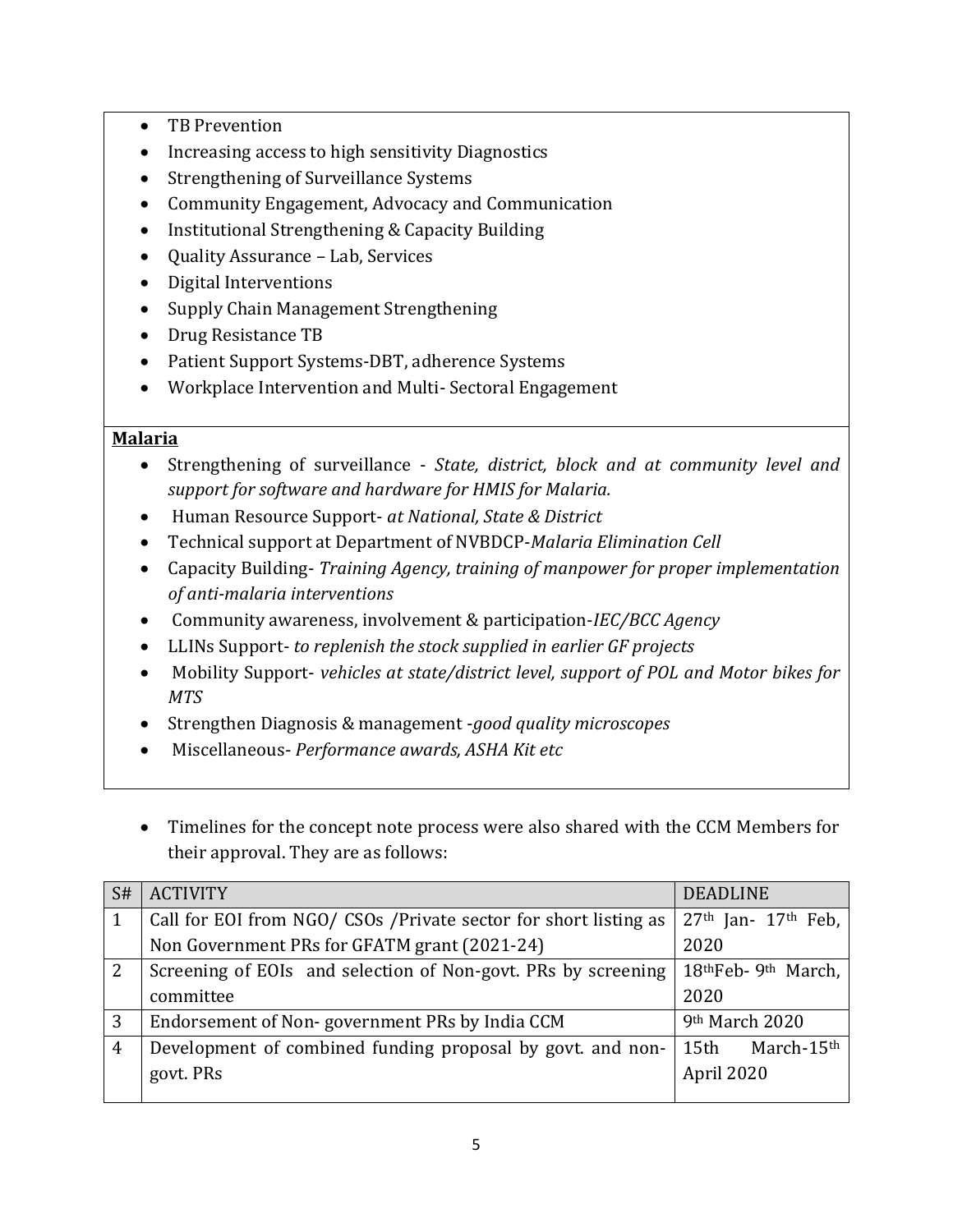- TB Prevention
- Increasing access to high sensitivity Diagnostics
- Strengthening of Surveillance Systems
- Community Engagement, Advocacy and Communication
- Institutional Strengthening & Capacity Building
- Quality Assurance Lab, Services
- Digital Interventions
- Supply Chain Management Strengthening
- Drug Resistance TB
- Patient Support Systems-DBT, adherence Systems
- Workplace Intervention and Multi- Sectoral Engagement

#### **Malaria**

- Strengthening of surveillance *State, district, block and at community level and support for software and hardware for HMIS for Malaria.*
- Human Resource Support- *at National, State & District*
- Technical support at Department of NVBDCP-*Malaria Elimination Cell*
- Capacity Building- *Training Agency, training of manpower for proper implementation of anti-malaria interventions*
- Community awareness, involvement & participation-*IEC/BCC Agency*
- LLINs Support- *to replenish the stock supplied in earlier GF projects*
- Mobility Support- *vehicles at state/district level, support of POL and Motor bikes for MTS*
- Strengthen Diagnosis & management -*good quality microscopes*
- Miscellaneous- *Performance awards, ASHA Kit etc*
- Timelines for the concept note process were also shared with the CCM Members for their approval. They are as follows:

| S# | <b>ACTIVITY</b><br><b>DEADLINE</b>                                                                           |                         |  |
|----|--------------------------------------------------------------------------------------------------------------|-------------------------|--|
|    | Call for EOI from NGO/ CSOs / Private sector for short listing as                                            | $27th$ Jan- $17th$ Feb, |  |
|    | Non Government PRs for GFATM grant (2021-24)<br>2020                                                         |                         |  |
| 2  | 18 <sup>th</sup> Feb-9 <sup>th</sup> March,<br>Screening of EOIs and selection of Non-govt. PRs by screening |                         |  |
|    | 2020<br>committee                                                                                            |                         |  |
| 3  | 9th March 2020<br>Endorsement of Non-government PRs by India CCM                                             |                         |  |
| 4  | Development of combined funding proposal by govt. and non-<br>15th March-15th                                |                         |  |
|    | govt. PRs<br>April 2020                                                                                      |                         |  |
|    |                                                                                                              |                         |  |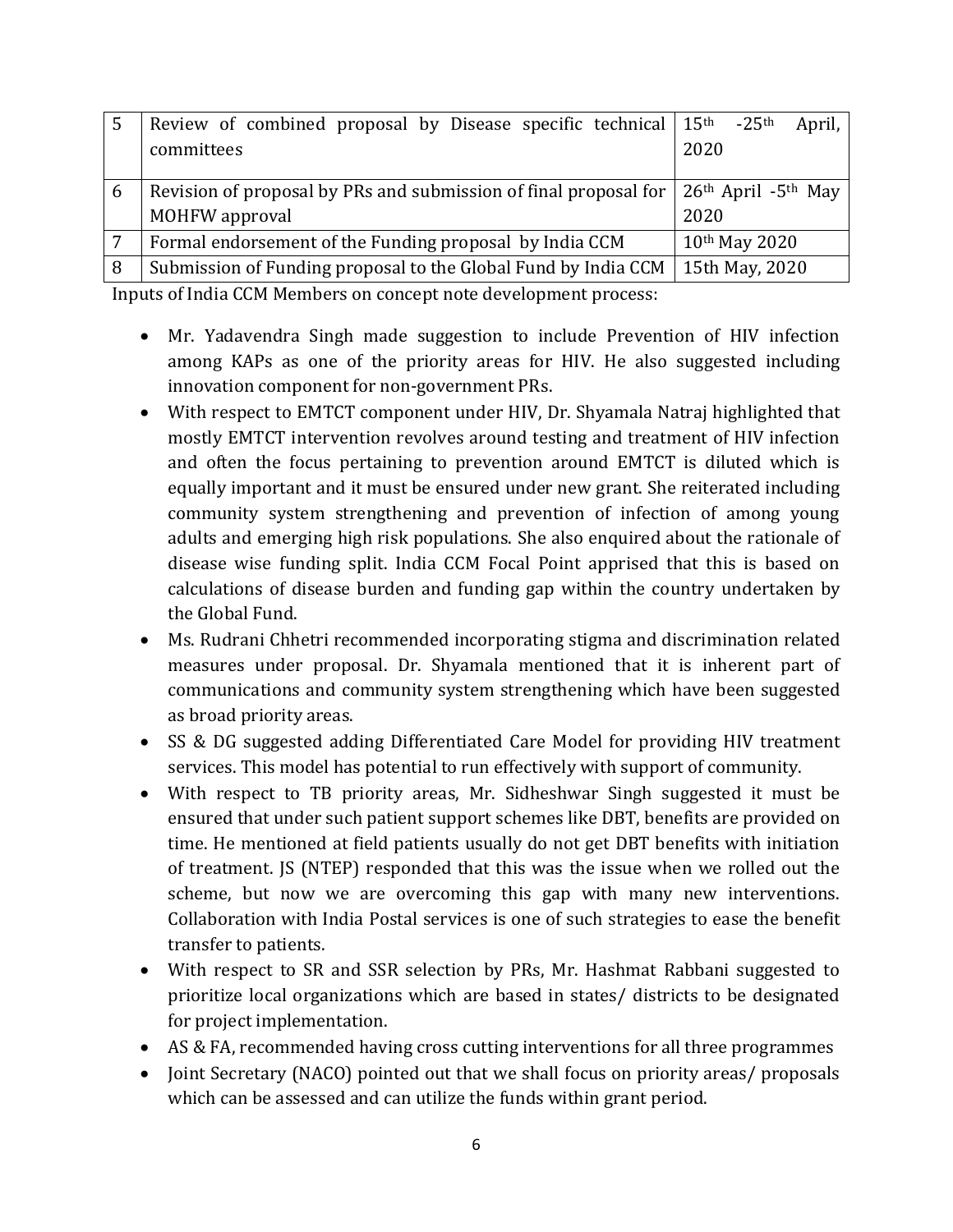|   | Review of combined proposal by Disease specific technical $15th$                                                     | $-25$ <sup>th</sup><br>April, |
|---|----------------------------------------------------------------------------------------------------------------------|-------------------------------|
|   | committees                                                                                                           | 2020                          |
|   |                                                                                                                      |                               |
| 6 | Revision of proposal by PRs and submission of final proposal for $\vert$ 26 <sup>th</sup> April -5 <sup>th</sup> May |                               |
|   | MOHFW approval                                                                                                       | 2020                          |
| 7 | Formal endorsement of the Funding proposal by India CCM                                                              | 10th May 2020                 |
| 8 | Submission of Funding proposal to the Global Fund by India CCM                                                       | 15th May, 2020                |

Inputs of India CCM Members on concept note development process:

- Mr. Yadavendra Singh made suggestion to include Prevention of HIV infection among KAPs as one of the priority areas for HIV. He also suggested including innovation component for non-government PRs.
- With respect to EMTCT component under HIV, Dr. Shyamala Natraj highlighted that mostly EMTCT intervention revolves around testing and treatment of HIV infection and often the focus pertaining to prevention around EMTCT is diluted which is equally important and it must be ensured under new grant. She reiterated including community system strengthening and prevention of infection of among young adults and emerging high risk populations. She also enquired about the rationale of disease wise funding split. India CCM Focal Point apprised that this is based on calculations of disease burden and funding gap within the country undertaken by the Global Fund.
- Ms. Rudrani Chhetri recommended incorporating stigma and discrimination related measures under proposal. Dr. Shyamala mentioned that it is inherent part of communications and community system strengthening which have been suggested as broad priority areas.
- SS & DG suggested adding Differentiated Care Model for providing HIV treatment services. This model has potential to run effectively with support of community.
- With respect to TB priority areas, Mr. Sidheshwar Singh suggested it must be ensured that under such patient support schemes like DBT, benefits are provided on time. He mentioned at field patients usually do not get DBT benefits with initiation of treatment. JS (NTEP) responded that this was the issue when we rolled out the scheme, but now we are overcoming this gap with many new interventions. Collaboration with India Postal services is one of such strategies to ease the benefit transfer to patients.
- With respect to SR and SSR selection by PRs, Mr. Hashmat Rabbani suggested to prioritize local organizations which are based in states/ districts to be designated for project implementation.
- AS & FA, recommended having cross cutting interventions for all three programmes
- Joint Secretary (NACO) pointed out that we shall focus on priority areas/ proposals which can be assessed and can utilize the funds within grant period.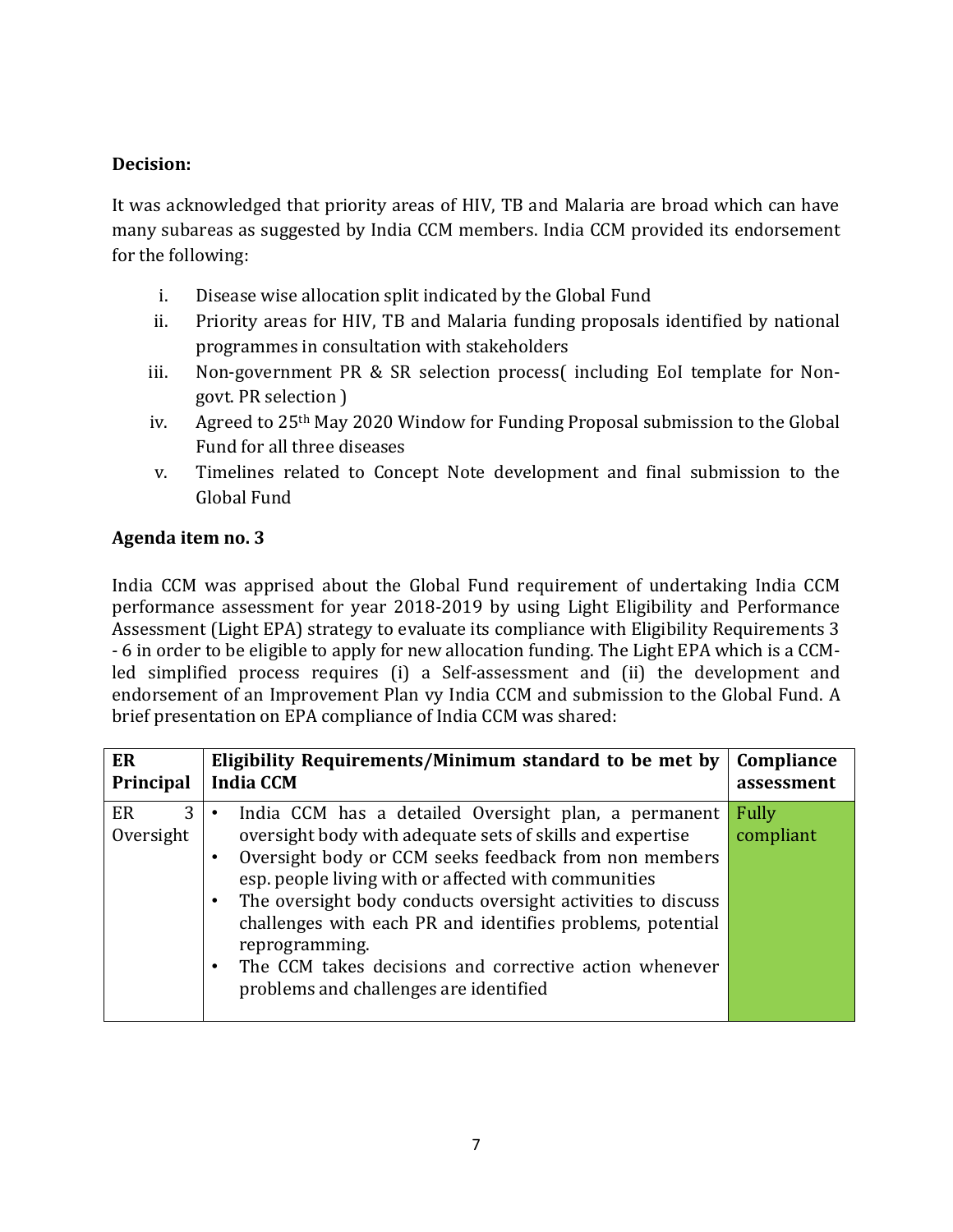#### **Decision:**

It was acknowledged that priority areas of HIV, TB and Malaria are broad which can have many subareas as suggested by India CCM members. India CCM provided its endorsement for the following:

- i. Disease wise allocation split indicated by the Global Fund
- ii. Priority areas for HIV, TB and Malaria funding proposals identified by national programmes in consultation with stakeholders
- iii. Non-government PR & SR selection process( including EoI template for Nongovt. PR selection )
- iv. Agreed to 25th May 2020 Window for Funding Proposal submission to the Global Fund for all three diseases
- v. Timelines related to Concept Note development and final submission to the Global Fund

# **Agenda item no. 3**

India CCM was apprised about the Global Fund requirement of undertaking India CCM performance assessment for year 2018-2019 by using Light Eligibility and Performance Assessment (Light EPA) strategy to evaluate its compliance with Eligibility Requirements 3 - 6 in order to be eligible to apply for new allocation funding. The Light EPA which is a CCMled simplified process requires (i) a Self-assessment and (ii) the development and endorsement of an Improvement Plan vy India CCM and submission to the Global Fund. A brief presentation on EPA compliance of India CCM was shared:

| ER                   | Eligibility Requirements/Minimum standard to be met by                                                                                                                                                                                                                                                                                                                                                                                                                                | Compliance         |
|----------------------|---------------------------------------------------------------------------------------------------------------------------------------------------------------------------------------------------------------------------------------------------------------------------------------------------------------------------------------------------------------------------------------------------------------------------------------------------------------------------------------|--------------------|
| Principal            | <b>India CCM</b>                                                                                                                                                                                                                                                                                                                                                                                                                                                                      | assessment         |
| ER<br>3<br>Oversight | India CCM has a detailed Oversight plan, a permanent<br>oversight body with adequate sets of skills and expertise<br>Oversight body or CCM seeks feedback from non members<br>esp. people living with or affected with communities<br>The oversight body conducts oversight activities to discuss<br>challenges with each PR and identifies problems, potential<br>reprogramming.<br>The CCM takes decisions and corrective action whenever<br>problems and challenges are identified | Fully<br>compliant |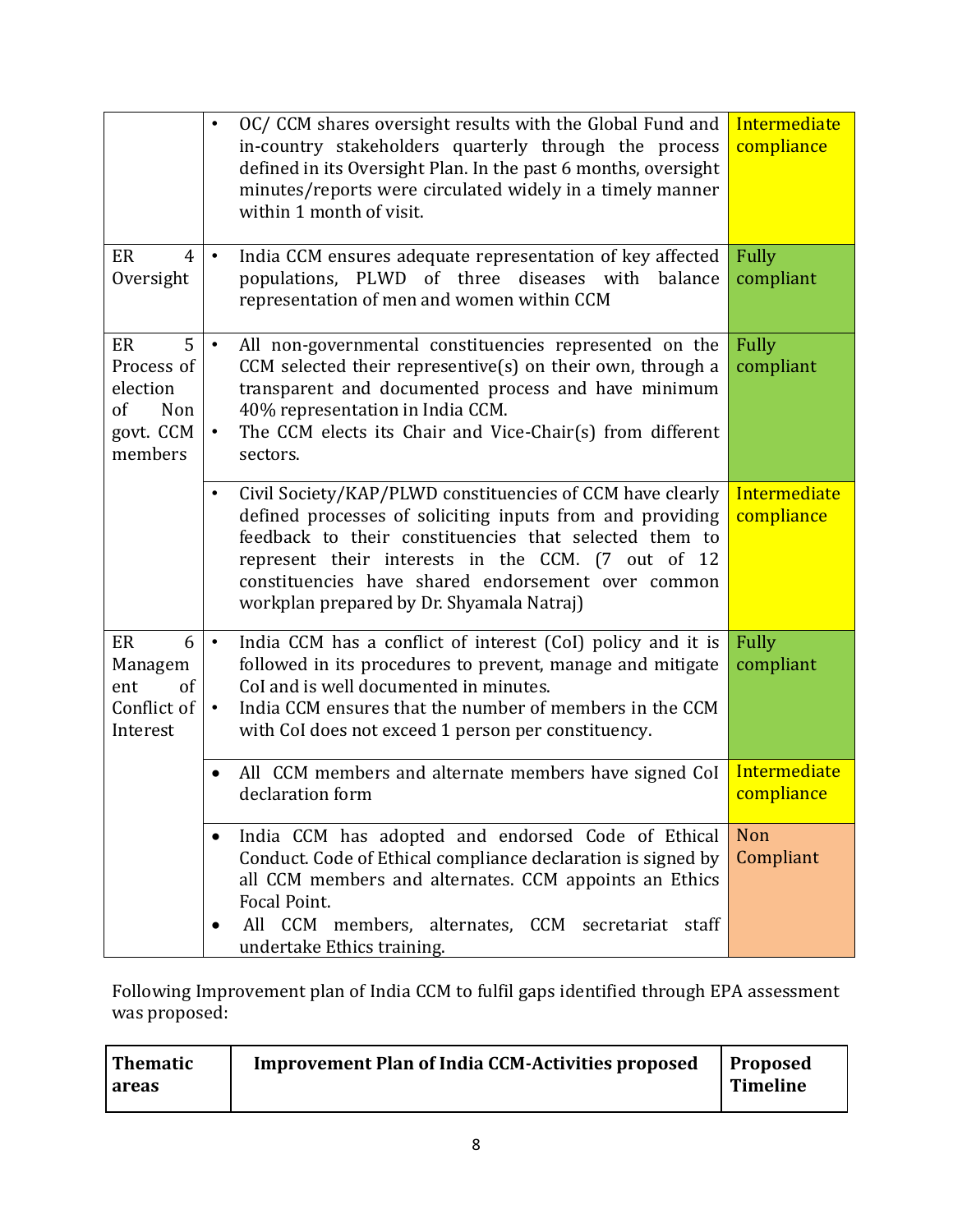|                                                                        | OC/CCM shares oversight results with the Global Fund and<br>$\bullet$<br>in-country stakeholders quarterly through the process<br>defined in its Oversight Plan. In the past 6 months, oversight<br>minutes/reports were circulated widely in a timely manner<br>within 1 month of visit.                                                              | Intermediate<br>compliance |
|------------------------------------------------------------------------|--------------------------------------------------------------------------------------------------------------------------------------------------------------------------------------------------------------------------------------------------------------------------------------------------------------------------------------------------------|----------------------------|
| ER<br>$\overline{4}$<br>Oversight                                      | India CCM ensures adequate representation of key affected<br>$\bullet$<br>populations, PLWD of three<br>diseases with<br>balance<br>representation of men and women within CCM                                                                                                                                                                         | Fully<br>compliant         |
| 5<br>ER<br>Process of<br>election<br>of<br>Non<br>govt. CCM<br>members | All non-governmental constituencies represented on the<br>$\bullet$<br>CCM selected their representive $(s)$ on their own, through a<br>transparent and documented process and have minimum<br>40% representation in India CCM.<br>The CCM elects its Chair and Vice-Chair(s) from different<br>$\bullet$<br>sectors.                                  | <b>Fully</b><br>compliant  |
|                                                                        | Civil Society/KAP/PLWD constituencies of CCM have clearly<br>$\bullet$<br>defined processes of soliciting inputs from and providing<br>feedback to their constituencies that selected them to<br>represent their interests in the CCM. (7 out of 12<br>constituencies have shared endorsement over common<br>workplan prepared by Dr. Shyamala Natraj) | Intermediate<br>compliance |
| ER<br>6<br>Managem<br>of<br>ent<br>Conflict of<br>Interest             | India CCM has a conflict of interest (CoI) policy and it is<br>$\bullet$<br>followed in its procedures to prevent, manage and mitigate<br>CoI and is well documented in minutes.<br>India CCM ensures that the number of members in the CCM<br>$\bullet$<br>with CoI does not exceed 1 person per constituency.                                        | <b>Fully</b><br>compliant  |
|                                                                        | All CCM members and alternate members have signed CoI<br>declaration form                                                                                                                                                                                                                                                                              | Intermediate<br>compliance |
|                                                                        | India CCM has adopted and endorsed Code of Ethical<br>Conduct. Code of Ethical compliance declaration is signed by<br>all CCM members and alternates. CCM appoints an Ethics<br>Focal Point.<br>All CCM members, alternates, CCM secretariat staff<br>undertake Ethics training.                                                                       | Non<br>Compliant           |

Following Improvement plan of India CCM to fulfil gaps identified through EPA assessment was proposed:

| <b>Thematic</b> | <b>Improvement Plan of India CCM-Activities proposed</b> | <b>Proposed</b> |
|-----------------|----------------------------------------------------------|-----------------|
| l areas         |                                                          | Timeline        |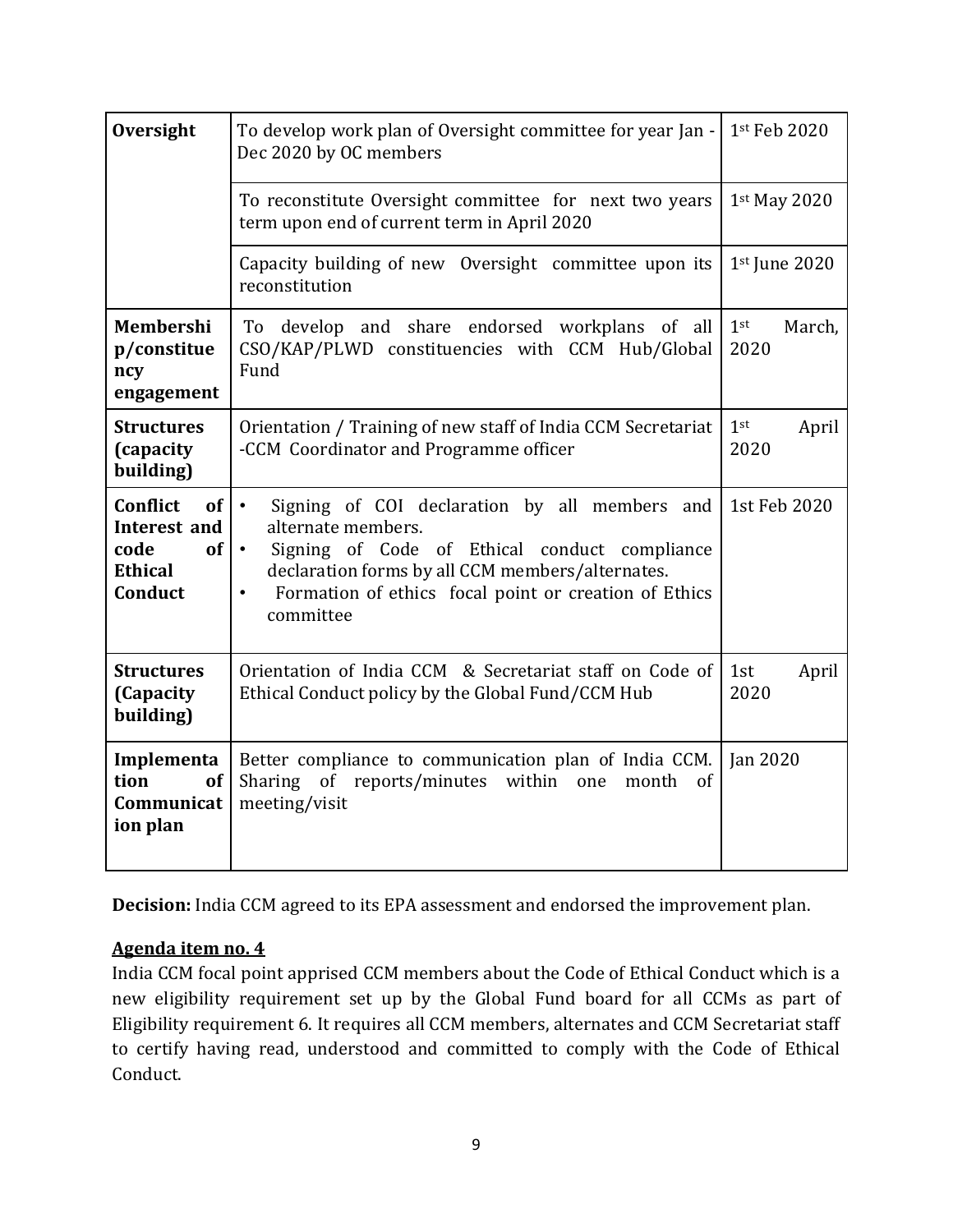| Oversight                                                                                                                                                                                  | To develop work plan of Oversight committee for year Jan -<br>Dec 2020 by OC members                                                                                                                                                                                                  | 1st Feb 2020  |  |
|--------------------------------------------------------------------------------------------------------------------------------------------------------------------------------------------|---------------------------------------------------------------------------------------------------------------------------------------------------------------------------------------------------------------------------------------------------------------------------------------|---------------|--|
|                                                                                                                                                                                            | To reconstitute Oversight committee for next two years<br>term upon end of current term in April 2020                                                                                                                                                                                 | 1st May 2020  |  |
|                                                                                                                                                                                            | Capacity building of new Oversight committee upon its<br>reconstitution                                                                                                                                                                                                               | 1st June 2020 |  |
| Membershi<br>p/constitue<br>ncy<br>engagement                                                                                                                                              | 1 <sup>st</sup><br>develop and share endorsed workplans of all<br>To<br>CSO/KAP/PLWD constituencies with CCM Hub/Global<br>2020<br>Fund                                                                                                                                               |               |  |
| <b>Structures</b><br>(capacity<br>building)                                                                                                                                                | 1 <sup>st</sup><br>Orientation / Training of new staff of India CCM Secretariat<br>-CCM Coordinator and Programme officer<br>2020                                                                                                                                                     |               |  |
| Conflict<br>of <sub>l</sub><br>Interest and<br>code<br>of<br><b>Ethical</b><br>Conduct                                                                                                     | Signing of COI declaration by all members and<br>$\bullet$<br>alternate members.<br>Signing of Code of Ethical conduct compliance<br>$\bullet$<br>declaration forms by all CCM members/alternates.<br>Formation of ethics focal point or creation of Ethics<br>$\bullet$<br>committee | 1st Feb 2020  |  |
| <b>Structures</b><br>(Capacity<br>building)                                                                                                                                                | Orientation of India CCM & Secretariat staff on Code of<br>Ethical Conduct policy by the Global Fund/CCM Hub                                                                                                                                                                          |               |  |
| Better compliance to communication plan of India CCM.<br>Implementa<br>of<br>Sharing of reports/minutes<br>tion<br>within<br>month<br>of<br>one<br>meeting/visit<br>Communicat<br>ion plan |                                                                                                                                                                                                                                                                                       | Jan 2020      |  |

**Decision:** India CCM agreed to its EPA assessment and endorsed the improvement plan.

# **Agenda item no. 4**

India CCM focal point apprised CCM members about the Code of Ethical Conduct which is a new eligibility requirement set up by the Global Fund board for all CCMs as part of Eligibility requirement 6. It requires all CCM members, alternates and CCM Secretariat staff to certify having read, understood and committed to comply with the Code of Ethical Conduct.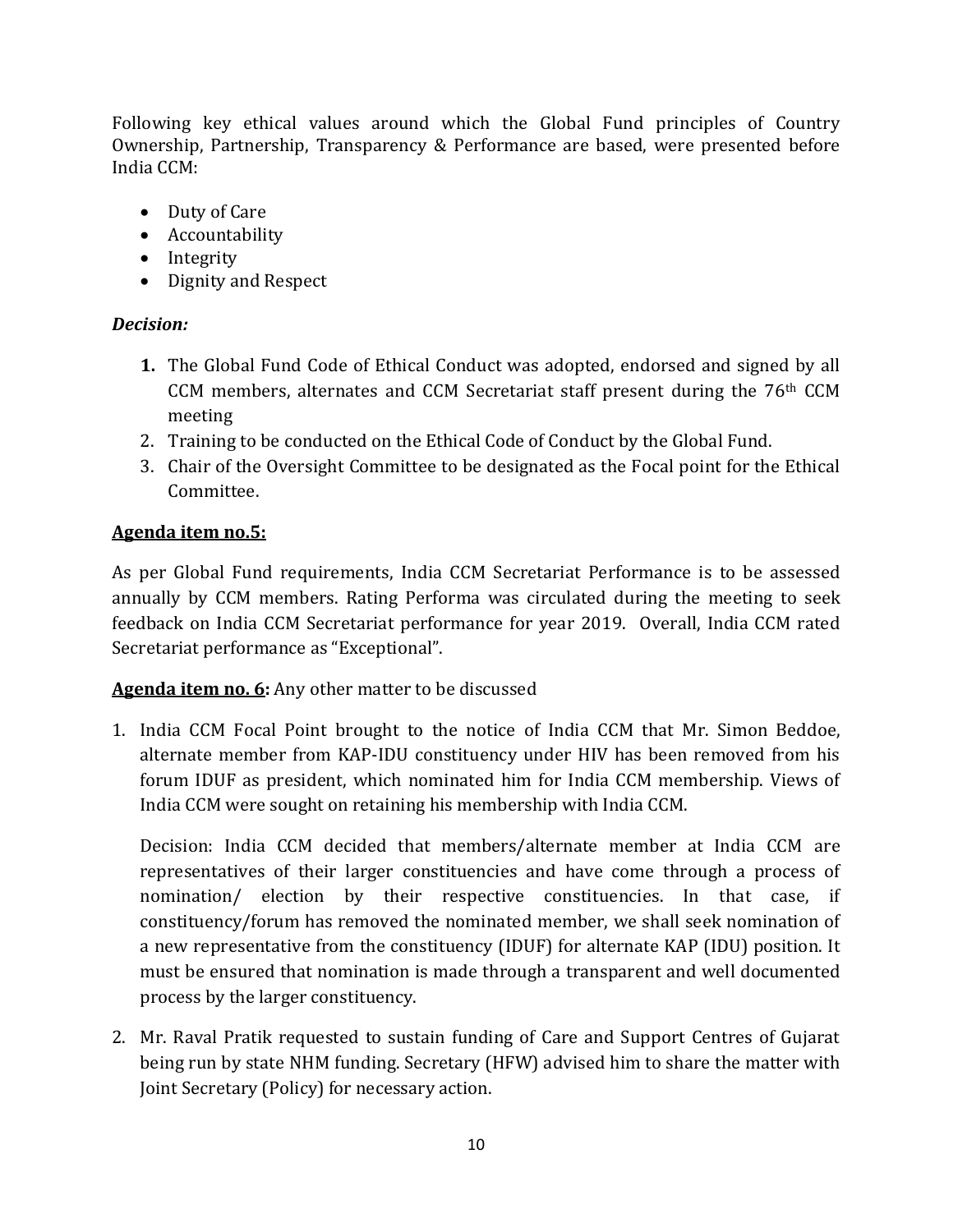Following key ethical values around which the Global Fund principles of Country Ownership, Partnership, Transparency & Performance are based, were presented before India CCM:

- Duty of Care
- Accountability
- Integrity
- Dignity and Respect

# *Decision:*

- **1.** The Global Fund Code of Ethical Conduct was adopted, endorsed and signed by all CCM members, alternates and CCM Secretariat staff present during the  $76<sup>th</sup>$  CCM meeting
- 2. Training to be conducted on the Ethical Code of Conduct by the Global Fund.
- 3. Chair of the Oversight Committee to be designated as the Focal point for the Ethical Committee.

# **Agenda item no.5:**

As per Global Fund requirements, India CCM Secretariat Performance is to be assessed annually by CCM members. Rating Performa was circulated during the meeting to seek feedback on India CCM Secretariat performance for year 2019. Overall, India CCM rated Secretariat performance as "Exceptional".

**Agenda item no. 6:** Any other matter to be discussed

1. India CCM Focal Point brought to the notice of India CCM that Mr. Simon Beddoe, alternate member from KAP-IDU constituency under HIV has been removed from his forum IDUF as president, which nominated him for India CCM membership. Views of India CCM were sought on retaining his membership with India CCM.

Decision: India CCM decided that members/alternate member at India CCM are representatives of their larger constituencies and have come through a process of nomination/ election by their respective constituencies. In that case, if constituency/forum has removed the nominated member, we shall seek nomination of a new representative from the constituency (IDUF) for alternate KAP (IDU) position. It must be ensured that nomination is made through a transparent and well documented process by the larger constituency.

2. Mr. Raval Pratik requested to sustain funding of Care and Support Centres of Gujarat being run by state NHM funding. Secretary (HFW) advised him to share the matter with Joint Secretary (Policy) for necessary action.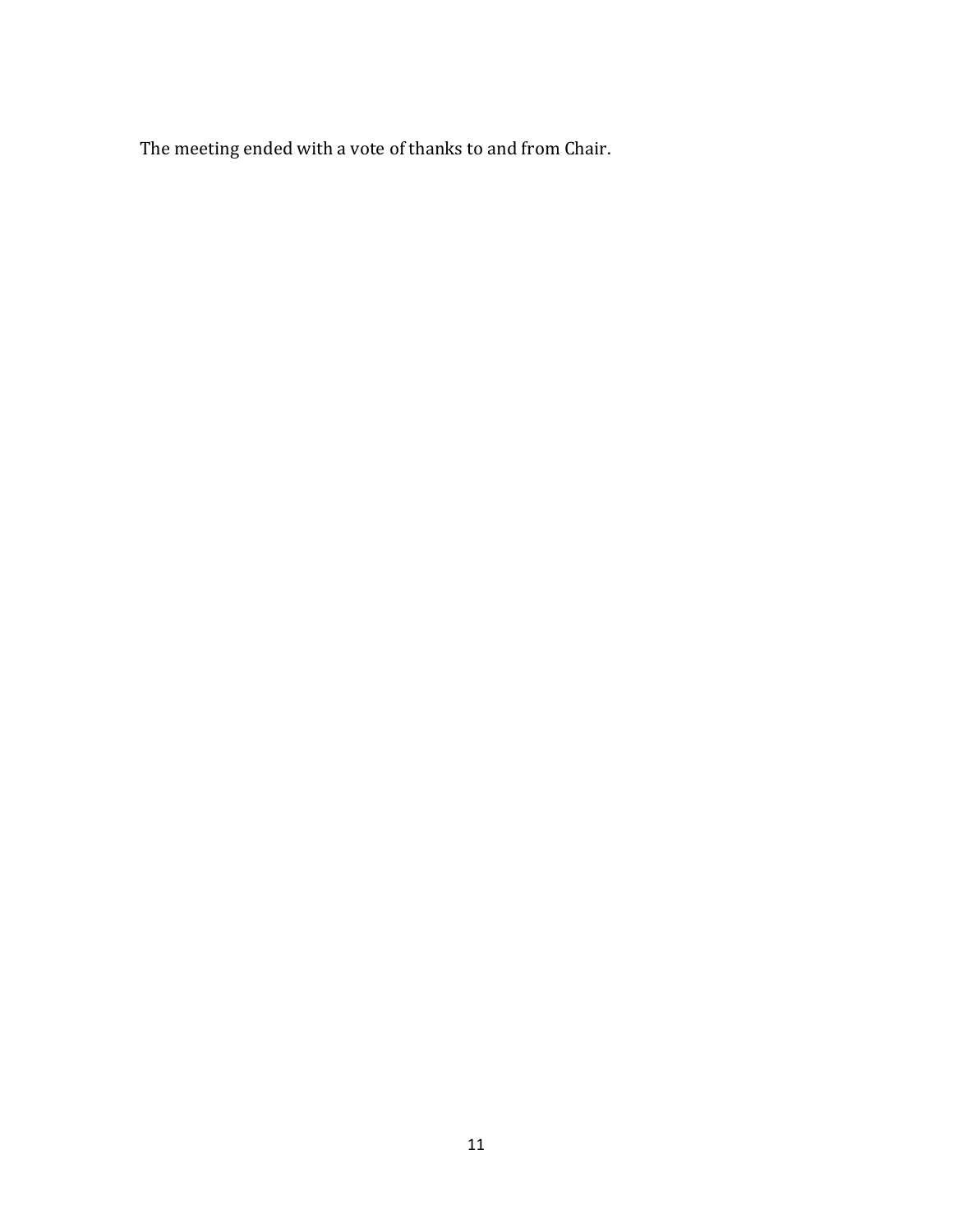The meeting ended with a vote of thanks to and from Chair.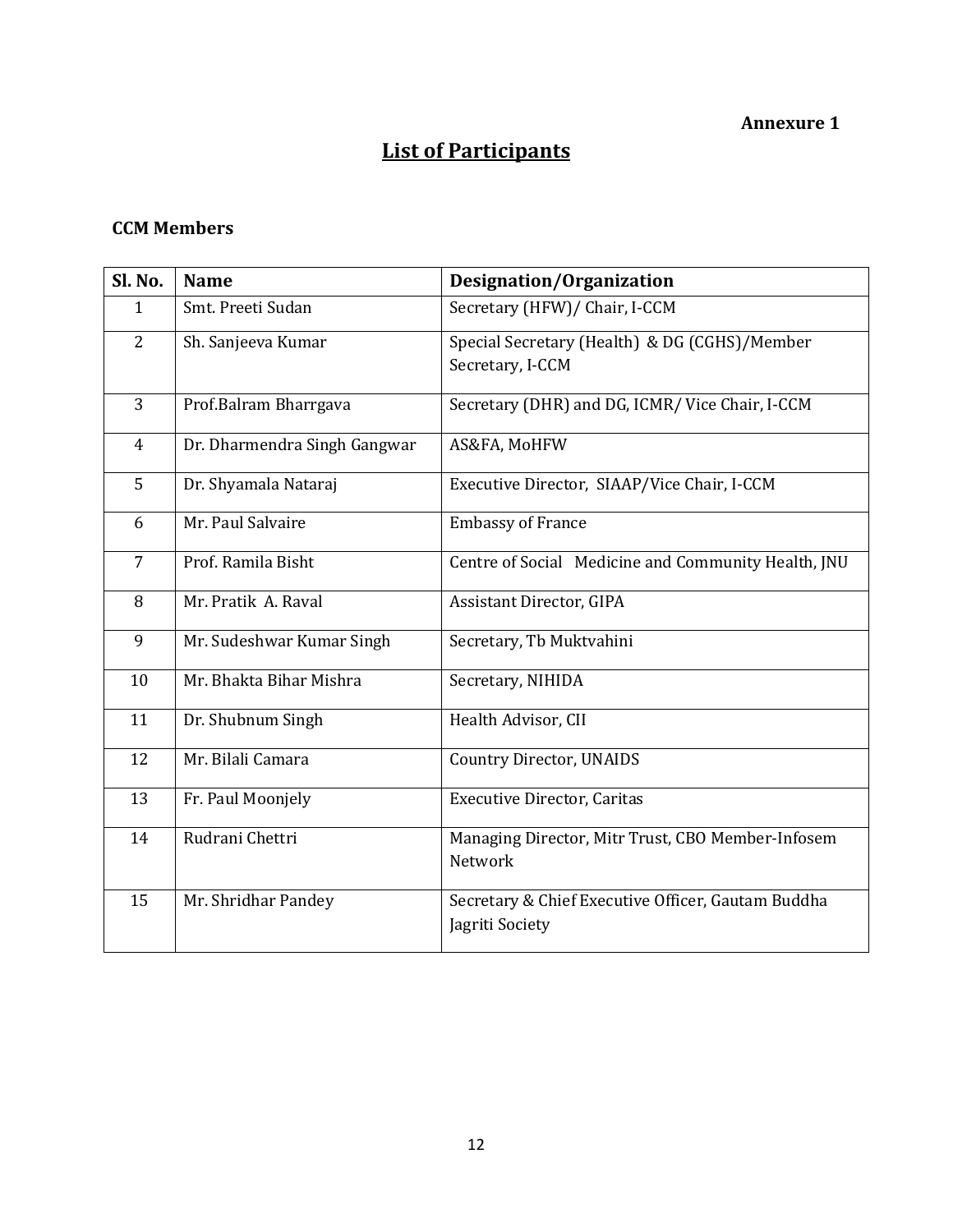### **Annexure 1**

# **List of Participants**

## **CCM Members**

| Sl. No.        | <b>Name</b>                  | Designation/Organization                                              |
|----------------|------------------------------|-----------------------------------------------------------------------|
| $\mathbf{1}$   | Smt. Preeti Sudan            | Secretary (HFW)/ Chair, I-CCM                                         |
| 2              | Sh. Sanjeeva Kumar           | Special Secretary (Health) & DG (CGHS)/Member                         |
|                |                              | Secretary, I-CCM                                                      |
| 3              | Prof.Balram Bharrgava        | Secretary (DHR) and DG, ICMR/ Vice Chair, I-CCM                       |
| $\overline{4}$ | Dr. Dharmendra Singh Gangwar | AS&FA, MoHFW                                                          |
| 5              | Dr. Shyamala Nataraj         | Executive Director, SIAAP/Vice Chair, I-CCM                           |
| 6              | Mr. Paul Salvaire            | <b>Embassy of France</b>                                              |
| $\overline{7}$ | Prof. Ramila Bisht           | Centre of Social Medicine and Community Health, JNU                   |
| 8              | Mr. Pratik A. Raval          | Assistant Director, GIPA                                              |
| 9              | Mr. Sudeshwar Kumar Singh    | Secretary, Tb Muktvahini                                              |
| 10             | Mr. Bhakta Bihar Mishra      | Secretary, NIHIDA                                                     |
| 11             | Dr. Shubnum Singh            | Health Advisor, CII                                                   |
| 12             | Mr. Bilali Camara            | <b>Country Director, UNAIDS</b>                                       |
| 13             | Fr. Paul Moonjely            | <b>Executive Director, Caritas</b>                                    |
| 14             | Rudrani Chettri              | Managing Director, Mitr Trust, CBO Member-Infosem<br>Network          |
| 15             | Mr. Shridhar Pandey          | Secretary & Chief Executive Officer, Gautam Buddha<br>Jagriti Society |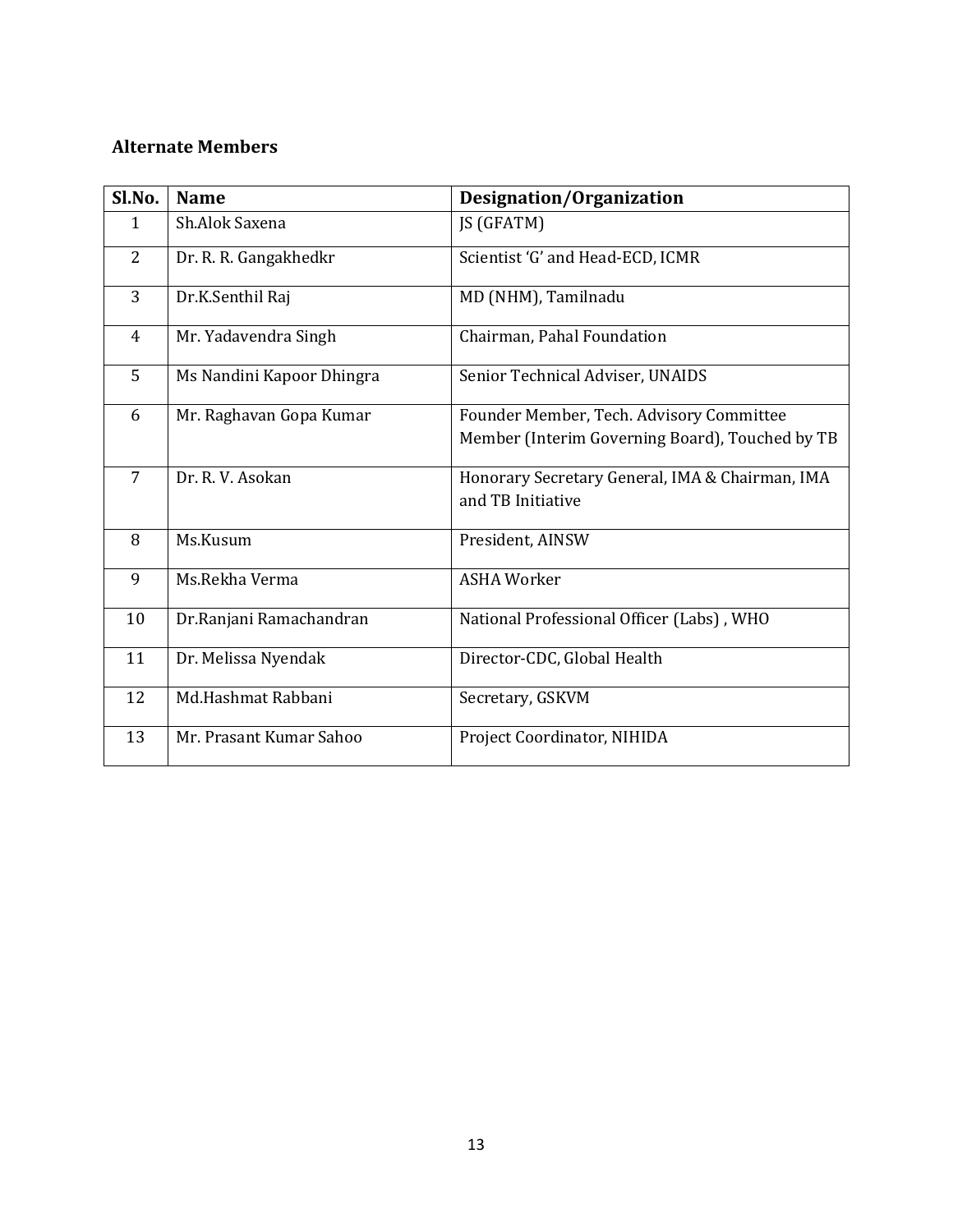#### **Alternate Members**

| Sl.No.         | <b>Name</b>               | Designation/Organization                        |
|----------------|---------------------------|-------------------------------------------------|
| $\mathbf{1}$   | Sh.Alok Saxena            | JS (GFATM)                                      |
| $\overline{2}$ | Dr. R. R. Gangakhedkr     | Scientist 'G' and Head-ECD, ICMR                |
| 3              | Dr.K.Senthil Raj          | MD (NHM), Tamilnadu                             |
| 4              | Mr. Yadavendra Singh      | Chairman, Pahal Foundation                      |
| 5              | Ms Nandini Kapoor Dhingra | Senior Technical Adviser, UNAIDS                |
| 6              | Mr. Raghavan Gopa Kumar   | Founder Member, Tech. Advisory Committee        |
|                |                           | Member (Interim Governing Board), Touched by TB |
| $\overline{7}$ | Dr. R. V. Asokan          | Honorary Secretary General, IMA & Chairman, IMA |
|                |                           | and TB Initiative                               |
| 8              | Ms.Kusum                  | President, AINSW                                |
| 9              | Ms.Rekha Verma            | <b>ASHA Worker</b>                              |
| 10             | Dr.Ranjani Ramachandran   | National Professional Officer (Labs), WHO       |
| 11             | Dr. Melissa Nyendak       | Director-CDC, Global Health                     |
| 12             | Md.Hashmat Rabbani        | Secretary, GSKVM                                |
| 13             | Mr. Prasant Kumar Sahoo   | Project Coordinator, NIHIDA                     |